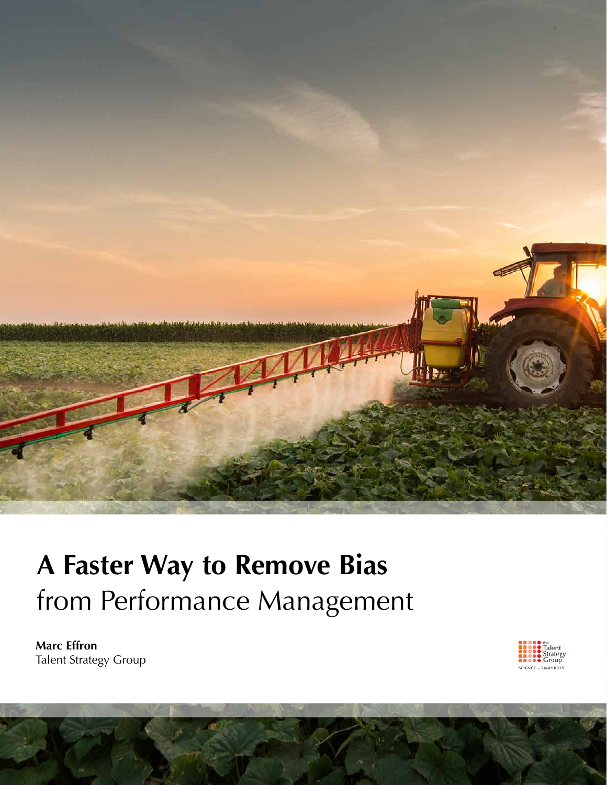

# **A Faster Way to Remove Bias** from Performance Management

**Marc Effron** Talent Strategy Group

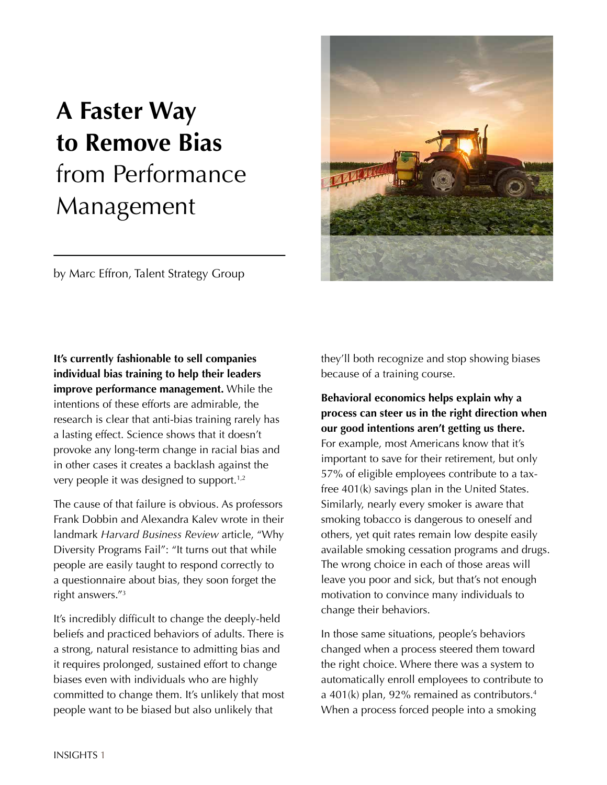# **A Faster Way to Remove Bias** from Performance Management

by Marc Effron, Talent Strategy Group

**It's currently fashionable to sell companies individual bias training to help their leaders improve performance management.** While the intentions of these efforts are admirable, the research is clear that anti-bias training rarely has a lasting effect. Science shows that it doesn't provoke any long-term change in racial bias and in other cases it creates a backlash against the very people it was designed to support.1,2

The cause of that failure is obvious. As professors Frank Dobbin and Alexandra Kalev wrote in their landmark *Harvard Business Review* article, "Why Diversity Programs Fail": "It turns out that while people are easily taught to respond correctly to a questionnaire about bias, they soon forget the right answers."3

It's incredibly difficult to change the deeply-held beliefs and practiced behaviors of adults. There is a strong, natural resistance to admitting bias and it requires prolonged, sustained effort to change biases even with individuals who are highly committed to change them. It's unlikely that most people want to be biased but also unlikely that

they'll both recognize and stop showing biases because of a training course.

**Behavioral economics helps explain why a process can steer us in the right direction when our good intentions aren't getting us there.**  For example, most Americans know that it's important to save for their retirement, but only 57% of eligible employees contribute to a taxfree 401(k) savings plan in the United States. Similarly, nearly every smoker is aware that smoking tobacco is dangerous to oneself and others, yet quit rates remain low despite easily available smoking cessation programs and drugs. The wrong choice in each of those areas will leave you poor and sick, but that's not enough motivation to convince many individuals to change their behaviors.

In those same situations, people's behaviors changed when a process steered them toward the right choice. Where there was a system to automatically enroll employees to contribute to a 401(k) plan, 92% remained as contributors.4 When a process forced people into a smoking

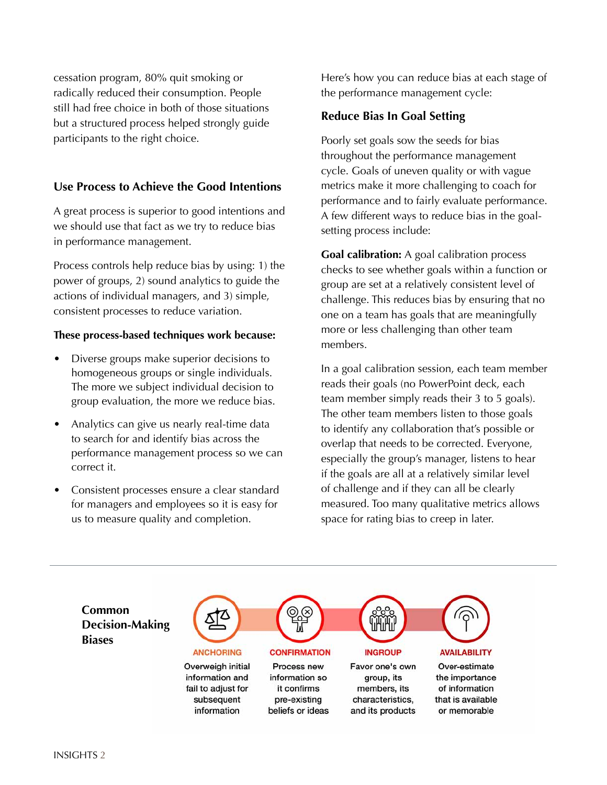cessation program, 80% quit smoking or radically reduced their consumption. People still had free choice in both of those situations but a structured process helped strongly guide participants to the right choice.

# **Use Process to Achieve the Good Intentions**

A great process is superior to good intentions and we should use that fact as we try to reduce bias in performance management.

Process controls help reduce bias by using: 1) the power of groups, 2) sound analytics to guide the actions of individual managers, and 3) simple, consistent processes to reduce variation.

## **These process-based techniques work because:**

- Diverse groups make superior decisions to homogeneous groups or single individuals. The more we subject individual decision to group evaluation, the more we reduce bias.
- Analytics can give us nearly real-time data to search for and identify bias across the performance management process so we can correct it.
- Consistent processes ensure a clear standard for managers and employees so it is easy for us to measure quality and completion.

Here's how you can reduce bias at each stage of the performance management cycle:

# **Reduce Bias In Goal Setting**

Poorly set goals sow the seeds for bias throughout the performance management cycle. Goals of uneven quality or with vague metrics make it more challenging to coach for performance and to fairly evaluate performance. A few different ways to reduce bias in the goalsetting process include:

**Goal calibration:** A goal calibration process checks to see whether goals within a function or group are set at a relatively consistent level of challenge. This reduces bias by ensuring that no one on a team has goals that are meaningfully more or less challenging than other team members.

In a goal calibration session, each team member reads their goals (no PowerPoint deck, each team member simply reads their 3 to 5 goals). The other team members listen to those goals to identify any collaboration that's possible or overlap that needs to be corrected. Everyone, especially the group's manager, listens to hear if the goals are all at a relatively similar level of challenge and if they can all be clearly measured. Too many qualitative metrics allows space for rating bias to creep in later.

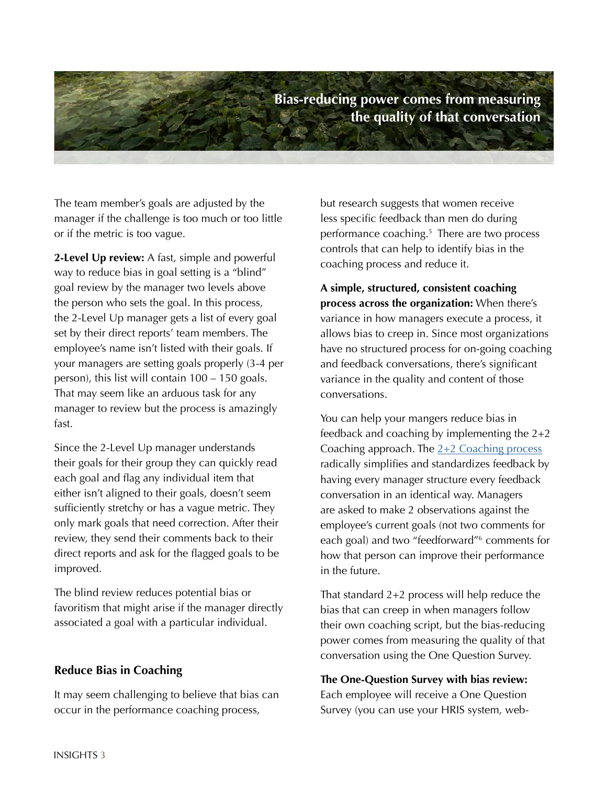

The team member's goals are adjusted by the manager if the challenge is too much or too little or if the metric is too vague.

**2-Level Up review:** A fast, simple and powerful way to reduce bias in goal setting is a "blind" goal review by the manager two levels above the person who sets the goal. In this process, the 2-Level Up manager gets a list of every goal set by their direct reports' team members. The employee's name isn't listed with their goals. If your managers are setting goals properly (3-4 per person), this list will contain 100 – 150 goals. That may seem like an arduous task for any manager to review but the process is amazingly fast.

Since the 2-Level Up manager understands their goals for their group they can quickly read each goal and flag any individual item that either isn't aligned to their goals, doesn't seem sufficiently stretchy or has a vague metric. They only mark goals that need correction. After their review, they send their comments back to their direct reports and ask for the flagged goals to be improved.

The blind review reduces potential bias or favoritism that might arise if the manager directly associated a goal with a particular individual.

### **Reduce Bias in Coaching**

It may seem challenging to believe that bias can occur in the performance coaching process,

but research suggests that women receive less specific feedback than men do during performance coaching.5 There are two process controls that can help to identify bias in the coaching process and reduce it.

**A simple, structured, consistent coaching process across the organization:** When there's variance in how managers execute a process, it allows bias to creep in. Since most organizations have no structured process for on-going coaching and feedback conversations, there's significant variance in the quality and content of those conversations.

You can help your mangers reduce bias in feedback and coaching by implementing the 2+2 Coaching approach. The  $2+2$  Coaching process radically simplifies and standardizes feedback by having every manager structure every feedback conversation in an identical way. Managers are asked to make 2 observations against the employee's current goals (not two comments for each goal) and two "feedforward"6 comments for how that person can improve their performance in the future.

That standard 2+2 process will help reduce the bias that can creep in when managers follow their own coaching script, but the bias-reducing power comes from measuring the quality of that conversation using the One Question Survey.

#### **The One-Question Survey with bias review:**

Each employee will receive a One Question Survey (you can use your HRIS system, web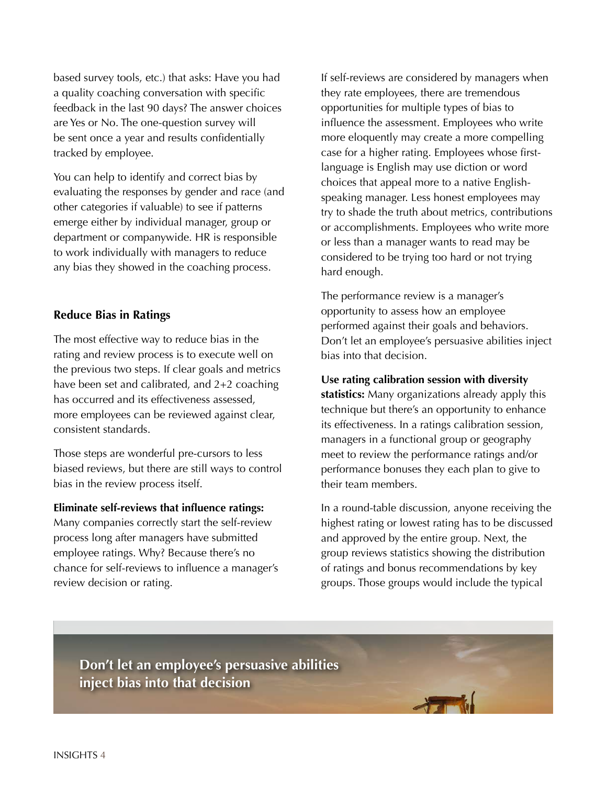based survey tools, etc.) that asks: Have you had a quality coaching conversation with specific feedback in the last 90 days? The answer choices are Yes or No. The one-question survey will be sent once a year and results confidentially tracked by employee.

You can help to identify and correct bias by evaluating the responses by gender and race (and other categories if valuable) to see if patterns emerge either by individual manager, group or department or companywide. HR is responsible to work individually with managers to reduce any bias they showed in the coaching process.

# **Reduce Bias in Ratings**

The most effective way to reduce bias in the rating and review process is to execute well on the previous two steps. If clear goals and metrics have been set and calibrated, and 2+2 coaching has occurred and its effectiveness assessed, more employees can be reviewed against clear, consistent standards.

Those steps are wonderful pre-cursors to less biased reviews, but there are still ways to control bias in the review process itself.

#### **Eliminate self-reviews that influence ratings:**

Many companies correctly start the self-review process long after managers have submitted employee ratings. Why? Because there's no chance for self-reviews to influence a manager's review decision or rating.

If self-reviews are considered by managers when they rate employees, there are tremendous opportunities for multiple types of bias to influence the assessment. Employees who write more eloquently may create a more compelling case for a higher rating. Employees whose firstlanguage is English may use diction or word choices that appeal more to a native Englishspeaking manager. Less honest employees may try to shade the truth about metrics, contributions or accomplishments. Employees who write more or less than a manager wants to read may be considered to be trying too hard or not trying hard enough.

The performance review is a manager's opportunity to assess how an employee performed against their goals and behaviors. Don't let an employee's persuasive abilities inject bias into that decision.

**Use rating calibration session with diversity statistics:** Many organizations already apply this technique but there's an opportunity to enhance its effectiveness. In a ratings calibration session, managers in a functional group or geography meet to review the performance ratings and/or performance bonuses they each plan to give to their team members.

In a round-table discussion, anyone receiving the highest rating or lowest rating has to be discussed and approved by the entire group. Next, the group reviews statistics showing the distribution of ratings and bonus recommendations by key groups. Those groups would include the typical

**Don't let an employee's persuasive abilities inject bias into that decision**